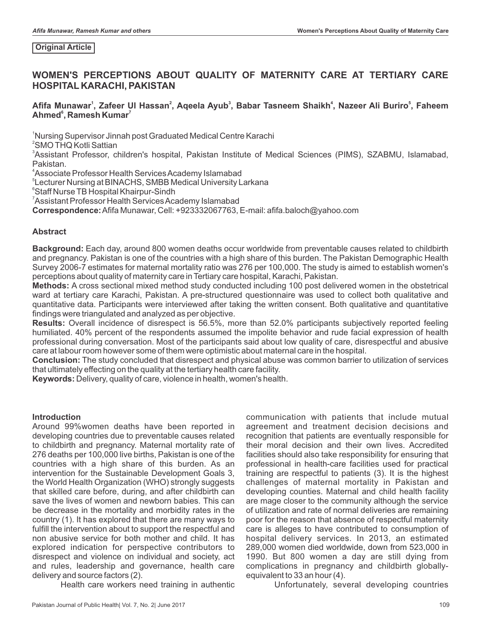#### **Original Article**

# **WOMEN'S PERCEPTIONS ABOUT QUALITY OF MATERNITY CARE AT TERTIARY CARE HOSPITAL KARACHI, PAKISTAN**

## **<sup>1</sup> <sup>2</sup> <sup>3</sup> <sup>4</sup> <sup>5</sup> Afifa Munawar , Zafeer Ul Hassan , Aqeela Ayub , Babar Tasneem Shaikh , Nazeer Ali Buriro , Faheem <sup>6</sup> <sup>7</sup> Ahmed , Ramesh Kumar**

<sup>1</sup>Nursing Supervisor Jinnah post Graduated Medical Centre Karachi

<sup>2</sup>SMO THQ Kotli Sattian

<sup>3</sup>Assistant Professor, children's hospital, Pakistan Institute of Medical Sciences (PIMS), SZABMU, Islamabad, Pakistan.

<sup>4</sup>Associate Professor Health Services Academy Islamabad

5 Lecturer Nursing at BINACHS, SMBB Medical University Larkana

<sup>6</sup>Staff Nurse TB Hospital Khairpur-Sindh

<sup>7</sup>Assistant Professor Health Services Academy Islamabad

**Correspondence:**Afifa Munawar, Cell: +923332067763, E-mail: afifa.baloch@yahoo.com

### **Abstract**

**Background:** Each day, around 800 women deaths occur worldwide from preventable causes related to childbirth and pregnancy. Pakistan is one of the countries with a high share of this burden. The Pakistan Demographic Health Survey 2006-7 estimates for maternal mortality ratio was 276 per 100,000. The study is aimed to establish women's perceptions about quality of maternity care in Tertiary care hospital, Karachi, Pakistan.

**Methods:** A cross sectional mixed method study conducted including 100 post delivered women in the obstetrical ward at tertiary care Karachi, Pakistan. A pre-structured questionnaire was used to collect both qualitative and quantitative data. Participants were interviewed after taking the written consent. Both qualitative and quantitative findings were triangulated and analyzed as per objective.

**Results:** Overall incidence of disrespect is 56.5%, more than 52.0% participants subjectively reported feeling humiliated. 40% percent of the respondents assumed the impolite behavior and rude facial expression of health professional during conversation. Most of the participants said about low quality of care, disrespectful and abusive care at labour room however some of them were optimistic about maternal care in the hospital.

**Conclusion:** The study concluded that disrespect and physical abuse was common barrier to utilization of services that ultimately effecting on the quality at the tertiary health care facility.

**Keywords:** Delivery, quality of care, violence in health, women's health.

### **Introduction**

Around 99%women deaths have been reported in developing countries due to preventable causes related to childbirth and pregnancy. Maternal mortality rate of 276 deaths per 100,000 live births, Pakistan is one of the countries with a high share of this burden. As an intervention for the Sustainable Development Goals 3, the World Health Organization (WHO) strongly suggests that skilled care before, during, and after childbirth can save the lives of women and newborn babies. This can be decrease in the mortality and morbidity rates in the country (1). It has explored that there are many ways to fulfill the intervention about to support the respectful and non abusive service for both mother and child. It has explored indication for perspective contributors to disrespect and violence on individual and society, act and rules, leadership and governance, health care delivery and source factors (2).

Health care workers need training in authentic

communication with patients that include mutual agreement and treatment decision decisions and recognition that patients are eventually responsible for their moral decision and their own lives. Accredited facilities should also take responsibility for ensuring that professional in health-care facilities used for practical training are respectful to patients (3). It is the highest challenges of maternal mortality in Pakistan and developing counties. Maternal and child health facility are mage closer to the community although the service of utilization and rate of normal deliveries are remaining poor for the reason that absence of respectful maternity care is alleges to have contributed to consumption of hospital delivery services. In 2013, an estimated 289,000 women died worldwide, down from 523,000 in 1990. But 800 women a day are still dying from complications in pregnancy and childbirth globallyequivalent to 33 an hour (4).

Unfortunately, several developing countries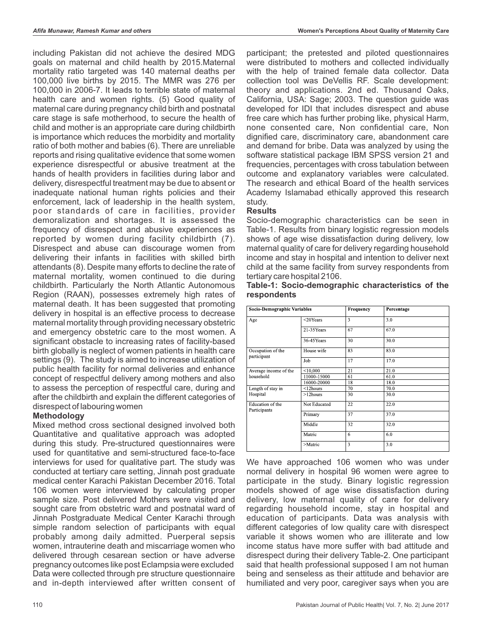including Pakistan did not achieve the desired MDG goals on maternal and child health by 2015.Maternal mortality ratio targeted was 140 maternal deaths per 100,000 live births by 2015. The MMR was 276 per 100,000 in 2006-7. It leads to terrible state of maternal health care and women rights. (5) Good quality of maternal care during pregnancy child birth and postnatal care stage is safe motherhood, to secure the health of child and mother is an appropriate care during childbirth is importance which reduces the morbidity and mortality ratio of both mother and babies (6). There are unreliable reports and rising qualitative evidence that some women experience disrespectful or abusive treatment at the hands of health providers in facilities during labor and delivery, disrespectful treatment may be due to absent or inadequate national human rights policies and their enforcement, lack of leadership in the health system, poor standards of care in facilities, provider demoralization and shortages. It is assessed the frequency of disrespect and abusive experiences as reported by women during facility childbirth (7). Disrespect and abuse can discourage women from delivering their infants in facilities with skilled birth attendants (8). Despite many efforts to decline the rate of maternal mortality, women continued to die during childbirth. Particularly the North Atlantic Autonomous Region (RAAN), possesses extremely high rates of maternal death. It has been suggested that promoting delivery in hospital is an effective process to decrease maternal mortality through providing necessary obstetric and emergency obstetric care to the most women. A significant obstacle to increasing rates of facility-based birth globally is neglect of women patients in health care settings (9). The study is aimed to increase utilization of public health facility for normal deliveries and enhance concept of respectful delivery among mothers and also to assess the perception of respectful care, during and after the childbirth and explain the different categories of disrespect of labouring women

### **Methodology**

Mixed method cross sectional designed involved both Quantitative and qualitative approach was adopted during this study. Pre-structured questionnaires were used for quantitative and semi-structured face-to-face interviews for used for qualitative part. The study was conducted at tertiary care setting, Jinnah post graduate medical center Karachi Pakistan December 2016. Total 106 women were interviewed by calculating proper sample size. Post delivered Mothers were visited and sought care from obstetric ward and postnatal ward of Jinnah Postgraduate Medical Center Karachi through simple random selection of participants with equal probably among daily admitted. Puerperal sepsis women, intrauterine death and miscarriage women who delivered through cesarean section or have adverse pregnancy outcomes like post Eclampsia were excluded Data were collected through pre structure questionnaire and in-depth interviewed after written consent of

participant; the pretested and piloted questionnaires were distributed to mothers and collected individually with the help of trained female data collector. Data collection tool was DeVellis RF. Scale development: theory and applications. 2nd ed. Thousand Oaks, California, USA: Sage; 2003. The question guide was developed for IDI that includes disrespect and abuse free care which has further probing like, physical Harm, none consented care, Non confidential care, Non dignified care, discriminatory care, abandonment care and demand for bribe. Data was analyzed by using the software statistical package IBM SPSS version 21 and frequencies, percentages with cross tabulation between outcome and explanatory variables were calculated. The research and ethical Board of the health services Academy Islamabad ethically approved this research study.

### **Results**

Socio-demographic characteristics can be seen in Table-1. Results from binary logistic regression models shows of age wise dissatisfaction during delivery, low maternal quality of care for delivery regarding household income and stay in hospital and intention to deliver next child at the same facility from survey respondents from tertiary care hospital 2106.

|             | Table-1: Socio-demographic characteristics of the |  |  |
|-------------|---------------------------------------------------|--|--|
| respondents |                                                   |  |  |

| <b>Socio-Demographic Variables</b> |                 | Frequency | Percentage |  |  |
|------------------------------------|-----------------|-----------|------------|--|--|
| Age                                | $<$ 20Years     | 3         | 3.0        |  |  |
|                                    | 21-35Years      | 67        | 67.0       |  |  |
|                                    | 36 45 Years     | 30        | 30.0       |  |  |
| Occupation of the                  | House wife      | 83        | 83.0       |  |  |
| participant                        | Job             | 17        | 17.0       |  |  |
| Average income of the              | < 10,000        | 21        | 21.0       |  |  |
| household                          | 11000-15000     | 61        | 61.0       |  |  |
|                                    | 16000-20000     | 18        | 18.0       |  |  |
| Length of stay in                  | $<$ 12 $h$ ours | 70        | 70.0       |  |  |
| Hospital                           | $>12$ hours     | 30        | 30.0       |  |  |
| Education of the<br>Participants   | Not Educated    | 22        | 22.0       |  |  |
|                                    | Primary         | 37        | 37.0       |  |  |
|                                    | Middle          | 32        | 32.0       |  |  |
|                                    | Matric          | 6         | 6.0        |  |  |
|                                    | >Matric         | 3         | 3.0        |  |  |

We have approached 106 women who was under normal delivery in hospital 96 women were agree to participate in the study. Binary logistic regression models showed of age wise dissatisfaction during delivery, low maternal quality of care for delivery regarding household income, stay in hospital and education of participants. Data was analysis with different categories of low quality care with disrespect variable it shows women who are illiterate and low income status have more suffer with bad attitude and disrespect during their delivery Table-2. One participant said that health professional supposed I am not human being and senseless as their attitude and behavior are humiliated and very poor, caregiver says when you are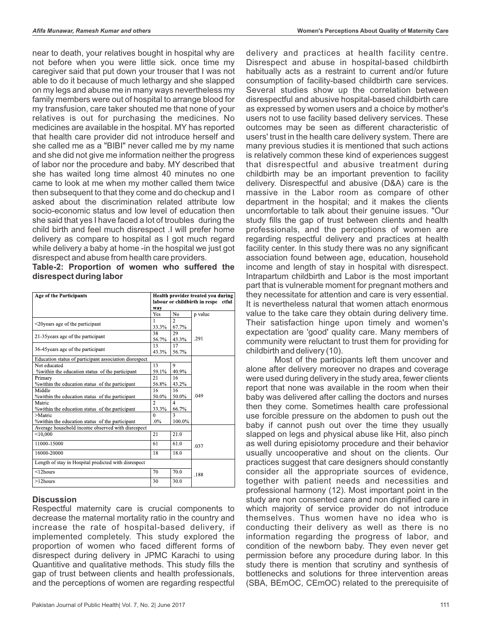near to death, your relatives bought in hospital why are not before when you were little sick. once time my caregiver said that put down your trouser that I was not able to do it because of much lethargy and she slapped on my legs and abuse me in many ways nevertheless my family members were out of hospital to arrange blood for my transfusion, care taker shouted me that none of your relatives is out for purchasing the medicines. No medicines are available in the hospital. MY has reported that health care provider did not introduce herself and she called me as a "BIBI" never called me by my name and she did not give me information neither the progress of labor nor the procedure and baby. MY described that she has waited long time almost 40 minutes no one came to look at me when my mother called them twice then subsequent to that they come and do checkup and I asked about the discrimination related attribute low socio-economic status and low level of education then she said that yes I have faced a lot of troubles during the child birth and feel much disrespect .I will prefer home delivery as compare to hospital as I got much regard while delivery a baby at home -in the hospital we just got disrespect and abuse from health care providers.

| Table-2: Proportion of women who suffered the |  |  |  |
|-----------------------------------------------|--|--|--|
| disrespect during labor                       |  |  |  |

| <b>Age of the Participants</b><br>way                  |                          | Health provider treated vou during<br>labour or childbirth in respe ctful |         |  |
|--------------------------------------------------------|--------------------------|---------------------------------------------------------------------------|---------|--|
|                                                        | Yes                      | No                                                                        | p value |  |
| $\leq$ 20 years age of the participant                 |                          | $\mathfrak{D}$                                                            |         |  |
|                                                        | 33.3%                    | 67.7%                                                                     |         |  |
|                                                        |                          | 29                                                                        |         |  |
| 21 35 years age of the participant                     | 56.7%                    | 43.3%                                                                     | .291    |  |
|                                                        | 13                       | 17                                                                        |         |  |
| 36-45 years age of the participant                     | 43.3%                    | 56.7%                                                                     |         |  |
| Education status of participant association disrespect |                          |                                                                           |         |  |
| Not educated                                           | 13                       | 9                                                                         |         |  |
| % within the education status of the participant       | 59.1%                    | 40.9%                                                                     |         |  |
| Primary                                                | 21                       | 16                                                                        |         |  |
| % within the education status of the participant       | 56.8%                    | 43.2%                                                                     |         |  |
| Middle                                                 | 16                       | 16                                                                        |         |  |
| % within the education status of the participant       | 50.0%                    | 50.0%                                                                     | .049    |  |
| Matric                                                 | $\overline{\mathcal{L}}$ | $\overline{\mathbf{4}}$                                                   |         |  |
| % within the education status of the participant       | 33.3%                    | 66.7%                                                                     |         |  |
| >Matric                                                | $\Omega$                 | $\mathbf{a}$                                                              |         |  |
| % within the education status of the participant       | .0%                      | 100.0%                                                                    |         |  |
| Average household income observed with disrespect      |                          |                                                                           |         |  |
| < 10,000                                               | 21                       | 21.0                                                                      |         |  |
| 11000-15000                                            | 61                       | 61.0                                                                      | .037    |  |
| 16000-20000                                            | 18                       | 18.0                                                                      |         |  |
| Length of stay in Hospital predicted with disrespect   |                          |                                                                           |         |  |
| $<$ 12 $h$ ours                                        | 70                       | 70.0                                                                      | .188    |  |
| $>12$ hours                                            | 30                       | 30.0                                                                      |         |  |

## **Discussion**

Respectful maternity care is crucial components to decrease the maternal mortality ratio in the country and increase the rate of hospital-based delivery, if implemented completely. This study explored the proportion of women who faced different forms of disrespect during delivery in JPMC Karachi to using Quantitive and qualitative methods. This study fills the gap of trust between clients and health professionals, and the perceptions of women are regarding respectful delivery and practices at health facility centre. Disrespect and abuse in hospital-based childbirth habitually acts as a restraint to current and/or future consumption of facility-based childbirth care services. Several studies show up the correlation between disrespectful and abusive hospital-based childbirth care as expressed by women users and a choice by mother's users not to use facility based delivery services. These outcomes may be seen as different characteristic of users' trust in the health care delivery system. There are many previous studies it is mentioned that such actions is relatively common these kind of experiences suggest that disrespectful and abusive treatment during childbirth may be an important prevention to facility delivery. Disrespectful and abusive (D&A) care is the massive in the Labor room as compare of other department in the hospital; and it makes the clients uncomfortable to talk about their genuine issues. "Our study fills the gap of trust between clients and health professionals, and the perceptions of women are regarding respectful delivery and practices at health facility center. In this study there was no any significant association found between age, education, household income and length of stay in hospital with disrespect. Intrapartum childbirth and Labor is the most important part that is vulnerable moment for pregnant mothers and they necessitate for attention and care is very essential. It is nevertheless natural that women attach enormous value to the take care they obtain during delivery time. Their satisfaction hinge upon timely and women's expectation are 'good' quality care. Many members of community were reluctant to trust them for providing for childbirth and delivery (10).

Most of the participants left them uncover and alone after delivery moreover no drapes and coverage were used during delivery in the study area, fewer clients report that none was available in the room when their baby was delivered after calling the doctors and nurses then they come. Sometimes health care professional use forcible pressure on the abdomen to push out the baby if cannot push out over the time they usually slapped on legs and physical abuse like Hit, also pinch as well during episiotomy procedure and their behavior usually uncooperative and shout on the clients. Our practices suggest that care designers should constantly consider all the appropriate sources of evidence, together with patient needs and necessities and professional harmony (12). Most important point in the study are non consented care and non dignified care in which majority of service provider do not introduce themselves. Thus women have no idea who is conducting their delivery as well as there is no information regarding the progress of labor, and condition of the newborn baby. They even never get permission before any procedure during labor. In this study there is mention that scrutiny and synthesis of bottlenecks and solutions for three intervention areas (SBA, BEmOC, CEmOC) related to the prerequisite of